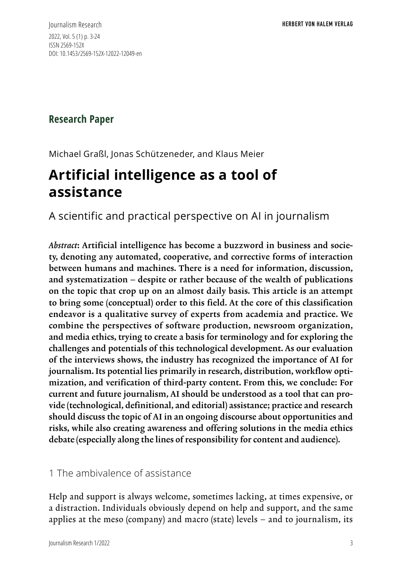Journalism Research 2022, Vol. 5 (1) p. 3-24 ISSN 2569-152X DOI: 10.1453/2569-152X-12022-12049-en

# **Research Paper**

Michael Graßl, Jonas Schützeneder, and Klaus Meier

# **Artificial intelligence as a tool of assistance**

A scientific and practical perspective on AI in journalism

*Abstract*: Artificial intelligence has become a buzzword in business and society, denoting any automated, cooperative, and corrective forms of interaction between humans and machines. There is a need for information, discussion, and systematization – despite or rather because of the wealth of publications on the topic that crop up on an almost daily basis. This article is an attempt to bring some (conceptual) order to this field. At the core of this classification endeavor is a qualitative survey of experts from academia and practice. We combine the perspectives of software production, newsroom organization, and media ethics, trying to create a basis for terminology and for exploring the challenges and potentials of this technological development. As our evaluation of the interviews shows, the industry has recognized the importance of AI for journalism. Its potential lies primarily in research, distribution, workflow optimization, and verification of third-party content. From this, we conclude: For current and future journalism, AI should be understood as a tool that can provide (technological, definitional, and editorial) assistance; practice and research should discuss the topic of AI in an ongoing discourse about opportunities and risks, while also creating awareness and offering solutions in the media ethics debate (especially along the lines of responsibility for content and audience).

### 1 The ambivalence of assistance

Help and support is always welcome, sometimes lacking, at times expensive, or a distraction. Individuals obviously depend on help and support, and the same applies at the meso (company) and macro (state) levels – and to journalism, its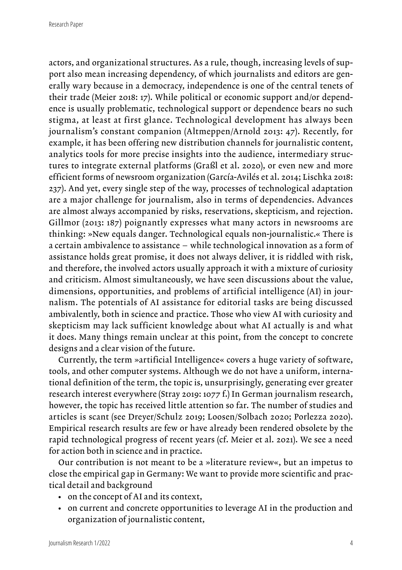actors, and organizational structures. As a rule, though, increasing levels of support also mean increasing dependency, of which journalists and editors are generally wary because in a democracy, independence is one of the central tenets of their trade (Meier 2018: 17). While political or economic support and/or dependence is usually problematic, technological support or dependence bears no such stigma, at least at first glance. Technological development has always been journalism's constant companion (Altmeppen/Arnold 2013: 47). Recently, for example, it has been offering new distribution channels for journalistic content, analytics tools for more precise insights into the audience, intermediary structures to integrate external platforms (Graßl et al. 2020), or even new and more efficient forms of newsroom organization (García-Avilés et al. 2014; Lischka 2018: 237). And yet, every single step of the way, processes of technological adaptation are a major challenge for journalism, also in terms of dependencies. Advances are almost always accompanied by risks, reservations, skepticism, and rejection. Gillmor (2013: 187) poignantly expresses what many actors in newsrooms are thinking: »New equals danger. Technological equals non-journalistic.« There is a certain ambivalence to assistance – while technological innovation as a form of assistance holds great promise, it does not always deliver, it is riddled with risk, and therefore, the involved actors usually approach it with a mixture of curiosity and criticism. Almost simultaneously, we have seen discussions about the value, dimensions, opportunities, and problems of artificial intelligence (AI) in journalism. The potentials of AI assistance for editorial tasks are being discussed ambivalently, both in science and practice. Those who view AI with curiosity and skepticism may lack sufficient knowledge about what AI actually is and what it does. Many things remain unclear at this point, from the concept to concrete designs and a clear vision of the future.

Currently, the term »artificial Intelligence« covers a huge variety of software, tools, and other computer systems. Although we do not have a uniform, international definition of the term, the topic is, unsurprisingly, generating ever greater research interest everywhere (Stray 2019: 1077 f.) In German journalism research, however, the topic has received little attention so far. The number of studies and articles is scant (see Dreyer/Schulz 2019; Loosen/Solbach 2020; Porlezza 2020). Empirical research results are few or have already been rendered obsolete by the rapid technological progress of recent years (cf. Meier et al. 2021). We see a need for action both in science and in practice.

Our contribution is not meant to be a »literature review«, but an impetus to close the empirical gap in Germany: We want to provide more scientific and practical detail and background

- on the concept of AI and its context,
- on current and concrete opportunities to leverage AI in the production and organization of journalistic content,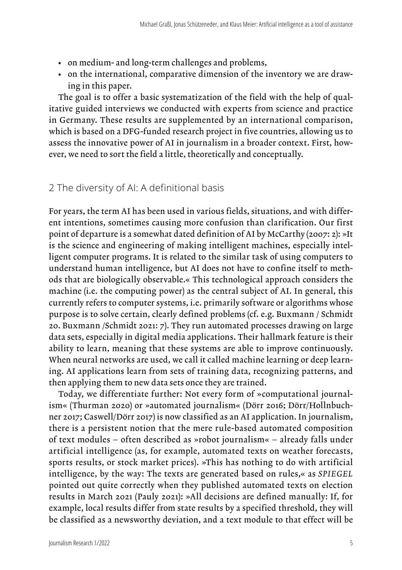- on medium- and long-term challenges and problems,
- on the international, comparative dimension of the inventory we are drawing in this paper.

The goal is to offer a basic systematization of the field with the help of qualitative guided interviews we conducted with experts from science and practice in Germany. These results are supplemented by an international comparison, which is based on a DFG-funded research project in five countries, allowing us to assess the innovative power of AI in journalism in a broader context. First, however, we need to sort the field a little, theoretically and conceptually.

### 2 The diversity of AI: A definitional basis

For years, the term AI has been used in various fields, situations, and with different intentions, sometimes causing more confusion than clarification. Our first point of departure is a somewhat dated definition of AI by McCarthy (2007: 2): »It is the science and engineering of making intelligent machines, especially intelligent computer programs. It is related to the similar task of using computers to understand human intelligence, but AI does not have to confine itself to methods that are biologically observable.« This technological approach considers the machine (i.e. the computing power) as the central subject of AI. In general, this currently refers to computer systems, i.e. primarily software or algorithms whose purpose is to solve certain, clearly defined problems (cf. e.g. Buxmann / Schmidt 20. Buxmann /Schmidt 2021: 7). They run automated processes drawing on large data sets, especially in digital media applications. Their hallmark feature is their ability to learn, meaning that these systems are able to improve continuously. When neural networks are used, we call it called machine learning or deep learning. AI applications learn from sets of training data, recognizing patterns, and then applying them to new data sets once they are trained.

Today, we differentiate further: Not every form of »computational journalism« (Thurman 2020) or »automated journalism« (Dörr 2016; Dörr/Hollnbuchner 2017; Caswell/Dörr 2017) is now classified as an AI application. In journalism, there is a persistent notion that the mere rule-based automated composition of text modules – often described as »robot journalism« – already falls under artificial intelligence (as, for example, automated texts on weather forecasts, sports results, or stock market prices). »This has nothing to do with artificial intelligence, by the way: The texts are generated based on rules,« as *SPIEGEL* pointed out quite correctly when they published automated texts on election results in March 2021 (Pauly 2021): »All decisions are defined manually: If, for example, local results differ from state results by a specified threshold, they will be classified as a newsworthy deviation, and a text module to that effect will be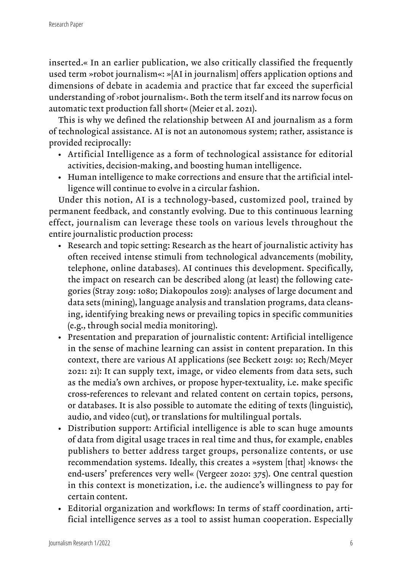inserted.« In an earlier publication, we also critically classified the frequently used term »robot journalism«: »[AI in journalism] offers application options and dimensions of debate in academia and practice that far exceed the superficial understanding of ›robot journalism‹. Both the term itself and its narrow focus on automatic text production fall short« (Meier et al. 2021).

This is why we defined the relationship between AI and journalism as a form of technological assistance. AI is not an autonomous system; rather, assistance is provided reciprocally:

- Artificial Intelligence as a form of technological assistance for editorial activities, decision-making, and boosting human intelligence.
- Human intelligence to make corrections and ensure that the artificial intelligence will continue to evolve in a circular fashion.

Under this notion, AI is a technology-based, customized pool, trained by permanent feedback, and constantly evolving. Due to this continuous learning effect, journalism can leverage these tools on various levels throughout the entire journalistic production process:

- Research and topic setting: Research as the heart of journalistic activity has often received intense stimuli from technological advancements (mobility, telephone, online databases). AI continues this development. Specifically, the impact on research can be described along (at least) the following categories (Stray 2019: 1080; Diakopoulos 2019): analyses of large document and data sets (mining), language analysis and translation programs, data cleansing, identifying breaking news or prevailing topics in specific communities (e.g., through social media monitoring).
- Presentation and preparation of journalistic content: Artificial intelligence in the sense of machine learning can assist in content preparation. In this context, there are various AI applications (see Beckett 2019: 10; Rech/Meyer 2021: 21): It can supply text, image, or video elements from data sets, such as the media's own archives, or propose hyper-textuality, i.e. make specific cross-references to relevant and related content on certain topics, persons, or databases. It is also possible to automate the editing of texts (linguistic), audio, and video (cut), or translations for multilingual portals.
- Distribution support: Artificial intelligence is able to scan huge amounts of data from digital usage traces in real time and thus, for example, enables publishers to better address target groups, personalize contents, or use recommendation systems. Ideally, this creates a »system [that] ›knows‹ the end-users' preferences very well« (Vergeer 2020: 375). One central question in this context is monetization, i.e. the audience's willingness to pay for certain content.
- Editorial organization and workflows: In terms of staff coordination, artificial intelligence serves as a tool to assist human cooperation. Especially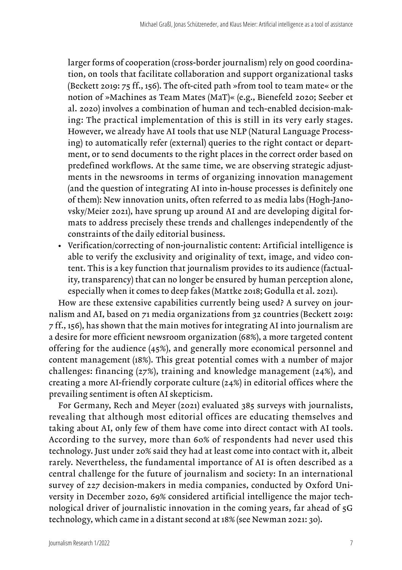larger forms of cooperation (cross-border journalism) rely on good coordination, on tools that facilitate collaboration and support organizational tasks (Beckett 2019: 75 ff., 156). The oft-cited path »from tool to team mate« or the notion of »Machines as Team Mates (MaT)« (e.g., Bienefeld 2020; Seeber et al. 2020) involves a combination of human and tech-enabled decision-making: The practical implementation of this is still in its very early stages. However, we already have AI tools that use NLP (Natural Language Processing) to automatically refer (external) queries to the right contact or department, or to send documents to the right places in the correct order based on predefined workflows. At the same time, we are observing strategic adjustments in the newsrooms in terms of organizing innovation management (and the question of integrating AI into in-house processes is definitely one of them): New innovation units, often referred to as media labs (Hogh-Janovsky/Meier 2021), have sprung up around AI and are developing digital formats to address precisely these trends and challenges independently of the constraints of the daily editorial business.

• Verification/correcting of non-journalistic content: Artificial intelligence is able to verify the exclusivity and originality of text, image, and video content. This is a key function that journalism provides to its audience (factuality, transparency) that can no longer be ensured by human perception alone, especially when it comes to deep fakes (Mattke 2018; Godulla et al. 2021).

How are these extensive capabilities currently being used? A survey on journalism and AI, based on 71 media organizations from 32 countries (Beckett 2019: 7 ff., 156), has shown that the main motives for integrating AI into journalism are a desire for more efficient newsroom organization (68%), a more targeted content offering for the audience (45%), and generally more economical personnel and content management (18%). This great potential comes with a number of major challenges: financing (27%), training and knowledge management (24%), and creating a more AI-friendly corporate culture (24%) in editorial offices where the prevailing sentiment is often AI skepticism.

For Germany, Rech and Meyer (2021) evaluated 385 surveys with journalists, revealing that although most editorial offices are educating themselves and taking about AI, only few of them have come into direct contact with AI tools. According to the survey, more than 60% of respondents had never used this technology. Just under 20% said they had at least come into contact with it, albeit rarely. Nevertheless, the fundamental importance of AI is often described as a central challenge for the future of journalism and society: In an international survey of 227 decision-makers in media companies, conducted by Oxford University in December 2020, 69% considered artificial intelligence the major technological driver of journalistic innovation in the coming years, far ahead of 5G technology, which came in a distant second at 18% (see Newman 2021: 30).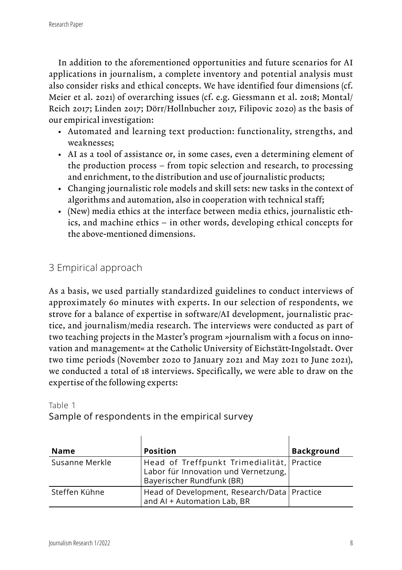In addition to the aforementioned opportunities and future scenarios for AI applications in journalism, a complete inventory and potential analysis must also consider risks and ethical concepts. We have identified four dimensions (cf. Meier et al. 2021) of overarching issues (cf. e.g. Giessmann et al. 2018; Montal/ Reich 2017; Linden 2017; Dörr/Hollnbucher 2017, Filipovic 2020) as the basis of our empirical investigation:

- Automated and learning text production: functionality, strengths, and weaknesses;
- AI as a tool of assistance or, in some cases, even a determining element of the production process – from topic selection and research, to processing and enrichment, to the distribution and use of journalistic products;
- Changing journalistic role models and skill sets: new tasks in the context of algorithms and automation, also in cooperation with technical staff;
- (New) media ethics at the interface between media ethics, journalistic ethics, and machine ethics – in other words, developing ethical concepts for the above-mentioned dimensions.

# 3 Empirical approach

As a basis, we used partially standardized guidelines to conduct interviews of approximately 60 minutes with experts. In our selection of respondents, we strove for a balance of expertise in software/AI development, journalistic practice, and journalism/media research. The interviews were conducted as part of two teaching projects in the Master's program »journalism with a focus on innovation and management« at the Catholic University of Eichstätt-Ingolstadt. Over two time periods (November 2020 to January 2021 and May 2021 to June 2021), we conducted a total of 18 interviews. Specifically, we were able to draw on the expertise of the following experts:

#### Table 1

Sample of respondents in the empirical survey

| <b>Name</b>                                                                                   | <b>Position</b>                                                                                                 | <b>Background</b> |
|-----------------------------------------------------------------------------------------------|-----------------------------------------------------------------------------------------------------------------|-------------------|
| Susanne Merkle                                                                                | Head of Treffpunkt Trimedialität, Practice<br>Labor für Innovation und Vernetzung,<br>Bayerischer Rundfunk (BR) |                   |
| Head of Development, Research/Data   Practice<br>Steffen Kühne<br>and AI + Automation Lab, BR |                                                                                                                 |                   |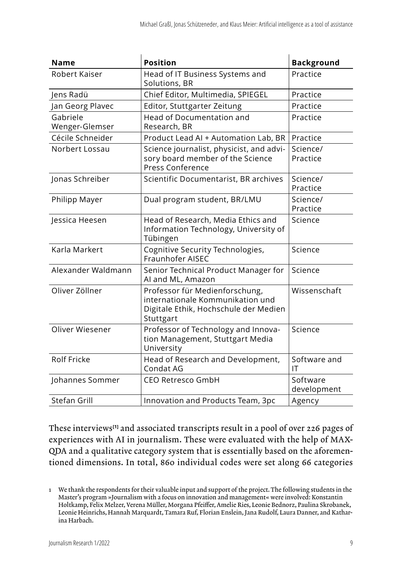| <b>Name</b>                | <b>Position</b>                                                                                                          | <b>Background</b>       |
|----------------------------|--------------------------------------------------------------------------------------------------------------------------|-------------------------|
| Robert Kaiser              | Head of IT Business Systems and<br>Solutions, BR                                                                         | Practice                |
| Jens Radü                  | Chief Editor, Multimedia, SPIEGEL                                                                                        | Practice                |
| Jan Georg Plavec           | Editor, Stuttgarter Zeitung                                                                                              | Practice                |
| Gabriele<br>Wenger-Glemser | <b>Head of Documentation and</b><br>Research, BR                                                                         | Practice                |
| Cécile Schneider           | Product Lead AI + Automation Lab, BR                                                                                     | Practice                |
| Norbert Lossau             | Science journalist, physicist, and advi-<br>sory board member of the Science<br><b>Press Conference</b>                  | Science/<br>Practice    |
| Jonas Schreiber            | Scientific Documentarist, BR archives                                                                                    | Science/<br>Practice    |
| Philipp Mayer              | Dual program student, BR/LMU                                                                                             | Science/<br>Practice    |
| Jessica Heesen             | Head of Research, Media Ethics and<br>Information Technology, University of<br>Tübingen                                  | Science                 |
| Karla Markert              | Cognitive Security Technologies,<br>Fraunhofer AISEC                                                                     | Science                 |
| Alexander Waldmann         | Senior Technical Product Manager for<br>AI and ML, Amazon                                                                | Science                 |
| Oliver Zöllner             | Professor für Medienforschung,<br>internationale Kommunikation und<br>Digitale Ethik, Hochschule der Medien<br>Stuttgart | Wissenschaft            |
| Oliver Wiesener            | Professor of Technology and Innova-<br>tion Management, Stuttgart Media<br>University                                    | Science                 |
| Rolf Fricke                | Head of Research and Development,<br>Condat AG                                                                           | Software and<br>IΤ      |
| Johannes Sommer            | <b>CEO Retresco GmbH</b>                                                                                                 | Software<br>development |
| Stefan Grill               | Innovation and Products Team, 3pc                                                                                        | Agency                  |

These interviews**[1]** and associated transcripts result in a pool of over 226 pages of experiences with AI in journalism. These were evaluated with the help of MAX-QDA and a qualitative category system that is essentially based on the aforementioned dimensions. In total, 860 individual codes were set along 66 categories

<sup>1</sup> We thank the respondents for their valuable input and support of the project. The following students in the Master's program »Journalism with a focus on innovation and management« were involved: Konstantin Holtkamp, Felix Melzer, Verena Müller, Morgana Pfeiffer, Amelie Ries, Leonie Bednorz, Paulina Skrobanek, Leonie Heinrichs, Hannah Marquardt, Tamara Ruf, Florian Enslein, Jana Rudolf, Laura Danner, and Katharina Harbach.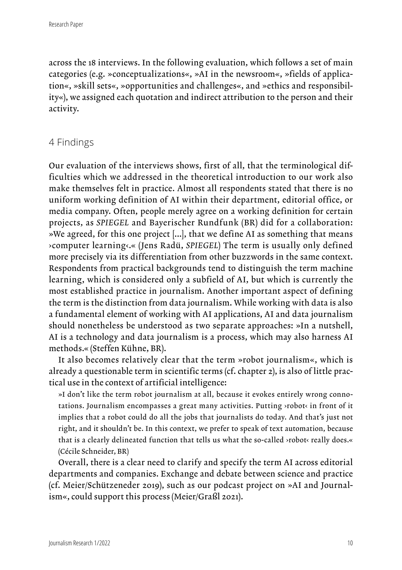across the 18 interviews. In the following evaluation, which follows a set of main categories (e.g. »conceptualizations«, »AI in the newsroom«, »fields of application«, »skill sets«, »opportunities and challenges«, and »ethics and responsibility«), we assigned each quotation and indirect attribution to the person and their activity.

### 4 Findings

Our evaluation of the interviews shows, first of all, that the terminological difficulties which we addressed in the theoretical introduction to our work also make themselves felt in practice. Almost all respondents stated that there is no uniform working definition of AI within their department, editorial office, or media company. Often, people merely agree on a working definition for certain projects, as *SPIEGEL* and Bayerischer Rundfunk (BR) did for a collaboration: »We agreed, for this one project [...], that we define AI as something that means ›computer learning‹.« (Jens Radü, *SPIEGEL*) The term is usually only defined more precisely via its differentiation from other buzzwords in the same context. Respondents from practical backgrounds tend to distinguish the term machine learning, which is considered only a subfield of AI, but which is currently the most established practice in journalism. Another important aspect of defining the term is the distinction from data journalism. While working with data is also a fundamental element of working with AI applications, AI and data journalism should nonetheless be understood as two separate approaches: »In a nutshell, AI is a technology and data journalism is a process, which may also harness AI methods.« (Steffen Kühne, BR).

It also becomes relatively clear that the term »robot journalism«, which is already a questionable term in scientific terms (cf. chapter 2), is also of little practical use in the context of artificial intelligence:

»I don't like the term robot journalism at all, because it evokes entirely wrong connotations. Journalism encompasses a great many activities. Putting >robot< in front of it implies that a robot could do all the jobs that journalists do today. And that's just not right, and it shouldn't be. In this context, we prefer to speak of text automation, because that is a clearly delineated function that tells us what the so-called >robot< really does.« (Cécile Schneider, BR)

Overall, there is a clear need to clarify and specify the term AI across editorial departments and companies. Exchange and debate between science and practice (cf. Meier/Schützeneder 2019), such as our podcast project on »AI and Journalism«, could support this process (Meier/Graßl 2021).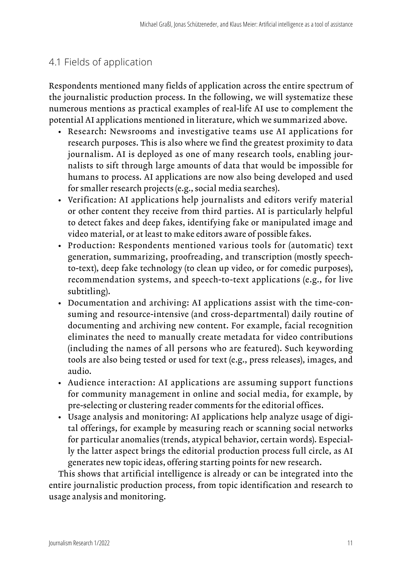## 4.1 Fields of application

Respondents mentioned many fields of application across the entire spectrum of the journalistic production process. In the following, we will systematize these numerous mentions as practical examples of real-life AI use to complement the potential AI applications mentioned in literature, which we summarized above.

- Research: Newsrooms and investigative teams use AI applications for research purposes. This is also where we find the greatest proximity to data journalism. AI is deployed as one of many research tools, enabling journalists to sift through large amounts of data that would be impossible for humans to process. AI applications are now also being developed and used for smaller research projects (e.g., social media searches).
- Verification: AI applications help journalists and editors verify material or other content they receive from third parties. AI is particularly helpful to detect fakes and deep fakes, identifying fake or manipulated image and video material, or at least to make editors aware of possible fakes.
- Production: Respondents mentioned various tools for (automatic) text generation, summarizing, proofreading, and transcription (mostly speechto-text), deep fake technology (to clean up video, or for comedic purposes), recommendation systems, and speech-to-text applications (e.g., for live subtitling).
- Documentation and archiving: AI applications assist with the time-consuming and resource-intensive (and cross-departmental) daily routine of documenting and archiving new content. For example, facial recognition eliminates the need to manually create metadata for video contributions (including the names of all persons who are featured). Such keywording tools are also being tested or used for text (e.g., press releases), images, and audio.
- Audience interaction: AI applications are assuming support functions for community management in online and social media, for example, by pre-selecting or clustering reader comments for the editorial offices.
- Usage analysis and monitoring: AI applications help analyze usage of digital offerings, for example by measuring reach or scanning social networks for particular anomalies (trends, atypical behavior, certain words). Especially the latter aspect brings the editorial production process full circle, as AI generates new topic ideas, offering starting points for new research.

This shows that artificial intelligence is already or can be integrated into the entire journalistic production process, from topic identification and research to usage analysis and monitoring.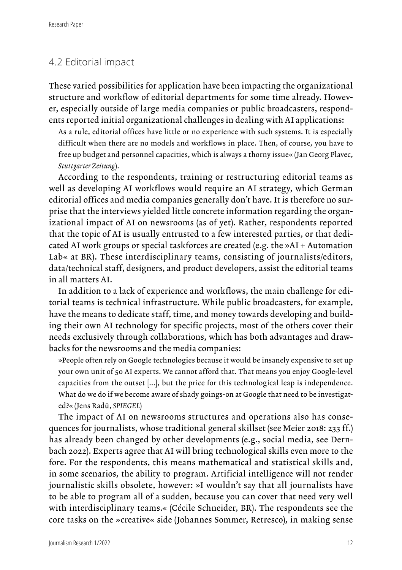### 4.2 Editorial impact

These varied possibilities for application have been impacting the organizational structure and workflow of editorial departments for some time already. However, especially outside of large media companies or public broadcasters, respondents reported initial organizational challenges in dealing with AI applications:

As a rule, editorial offices have little or no experience with such systems. It is especially difficult when there are no models and workflows in place. Then, of course, you have to free up budget and personnel capacities, which is always a thorny issue« (Jan Georg Plavec, *Stuttgarter Zeitung*).

According to the respondents, training or restructuring editorial teams as well as developing AI workflows would require an AI strategy, which German editorial offices and media companies generally don't have. It is therefore no surprise that the interviews yielded little concrete information regarding the organizational impact of AI on newsrooms (as of yet). Rather, respondents reported that the topic of AI is usually entrusted to a few interested parties, or that dedicated AI work groups or special taskforces are created (e.g. the »AI + Automation Lab« at BR). These interdisciplinary teams, consisting of journalists/editors, data/technical staff, designers, and product developers, assist the editorial teams in all matters AI.

In addition to a lack of experience and workflows, the main challenge for editorial teams is technical infrastructure. While public broadcasters, for example, have the means to dedicate staff, time, and money towards developing and building their own AI technology for specific projects, most of the others cover their needs exclusively through collaborations, which has both advantages and drawbacks for the newsrooms and the media companies:

»People often rely on Google technologies because it would be insanely expensive to set up your own unit of 50 AI experts. We cannot afford that. That means you enjoy Google-level capacities from the outset [...], but the price for this technological leap is independence. What do we do if we become aware of shady goings-on at Google that need to be investigated?« (Jens Radü, *SPIEGEL*)

The impact of AI on newsrooms structures and operations also has consequences for journalists, whose traditional general skillset (see Meier 2018: 233 ff.) has already been changed by other developments (e.g., social media, see Dernbach 2022). Experts agree that AI will bring technological skills even more to the fore. For the respondents, this means mathematical and statistical skills and, in some scenarios, the ability to program. Artificial intelligence will not render journalistic skills obsolete, however: »I wouldn't say that all journalists have to be able to program all of a sudden, because you can cover that need very well with interdisciplinary teams.« (Cécile Schneider, BR). The respondents see the core tasks on the »creative« side (Johannes Sommer, Retresco), in making sense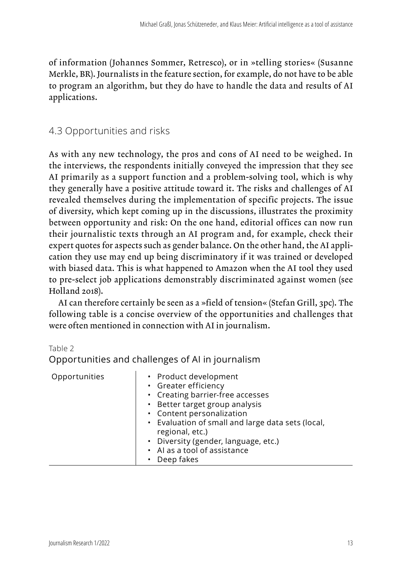of information (Johannes Sommer, Retresco), or in »telling stories« (Susanne Merkle, BR). Journalists in the feature section, for example, do not have to be able to program an algorithm, but they do have to handle the data and results of AI applications.

# 4.3 Opportunities and risks

As with any new technology, the pros and cons of AI need to be weighed. In the interviews, the respondents initially conveyed the impression that they see AI primarily as a support function and a problem-solving tool, which is why they generally have a positive attitude toward it. The risks and challenges of AI revealed themselves during the implementation of specific projects. The issue of diversity, which kept coming up in the discussions, illustrates the proximity between opportunity and risk: On the one hand, editorial offices can now run their journalistic texts through an AI program and, for example, check their expert quotes for aspects such as gender balance. On the other hand, the AI application they use may end up being discriminatory if it was trained or developed with biased data. This is what happened to Amazon when the AI tool they used to pre-select job applications demonstrably discriminated against women (see Holland 2018).

AI can therefore certainly be seen as a »field of tension« (Stefan Grill, 3pc). The following table is a concise overview of the opportunities and challenges that were often mentioned in connection with AI in journalism.

Table 2

Opportunities and challenges of AI in journalism

| Opportunities | • Product development<br>• Greater efficiency<br>• Creating barrier-free accesses<br>• Better target group analysis<br>• Content personalization<br>• Evaluation of small and large data sets (local,<br>regional, etc.)<br>• Diversity (gender, language, etc.)<br>• Al as a tool of assistance<br>Deep fakes |
|---------------|----------------------------------------------------------------------------------------------------------------------------------------------------------------------------------------------------------------------------------------------------------------------------------------------------------------|
|               |                                                                                                                                                                                                                                                                                                                |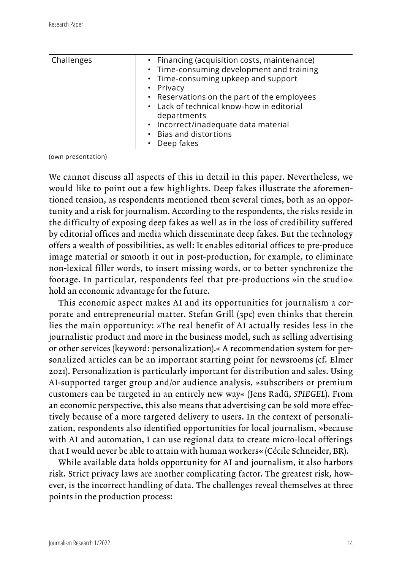| • Financing (acquisition costs, maintenance)<br>• Time-consuming development and training<br>• Time-consuming upkeep and support<br>• Privacy<br>• Reservations on the part of the employees<br>• Lack of technical know-how in editorial<br>departments<br>· Incorrect/inadequate data material<br>• Bias and distortions |            |  |
|----------------------------------------------------------------------------------------------------------------------------------------------------------------------------------------------------------------------------------------------------------------------------------------------------------------------------|------------|--|
| Deep fakes                                                                                                                                                                                                                                                                                                                 | Challenges |  |

(own presentation)

We cannot discuss all aspects of this in detail in this paper. Nevertheless, we would like to point out a few highlights. Deep fakes illustrate the aforementioned tension, as respondents mentioned them several times, both as an opportunity and a risk for journalism. According to the respondents, the risks reside in the difficulty of exposing deep fakes as well as in the loss of credibility suffered by editorial offices and media which disseminate deep fakes. But the technology offers a wealth of possibilities, as well: It enables editorial offices to pre-produce image material or smooth it out in post-production, for example, to eliminate non-lexical filler words, to insert missing words, or to better synchronize the footage. In particular, respondents feel that pre-productions »in the studio« hold an economic advantage for the future.

This economic aspect makes AI and its opportunities for journalism a corporate and entrepreneurial matter. Stefan Grill (3pc) even thinks that therein lies the main opportunity: »The real benefit of AI actually resides less in the journalistic product and more in the business model, such as selling advertising or other services (keyword: personalization).« A recommendation system for personalized articles can be an important starting point for newsrooms (cf. Elmer 2021). Personalization is particularly important for distribution and sales. Using AI-supported target group and/or audience analysis, »subscribers or premium customers can be targeted in an entirely new way« (Jens Radü, *SPIEGEL*). From an economic perspective, this also means that advertising can be sold more effectively because of a more targeted delivery to users. In the context of personalization, respondents also identified opportunities for local journalism, »because with AI and automation, I can use regional data to create micro-local offerings that I would never be able to attain with human workers« (Cécile Schneider, BR).

While available data holds opportunity for AI and journalism, it also harbors risk. Strict privacy laws are another complicating factor. The greatest risk, however, is the incorrect handling of data. The challenges reveal themselves at three points in the production process: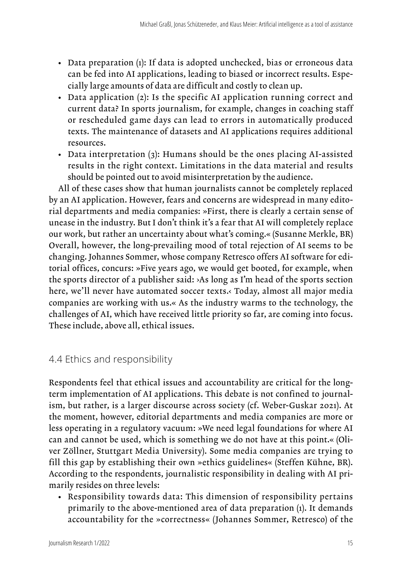- Data preparation (1): If data is adopted unchecked, bias or erroneous data can be fed into AI applications, leading to biased or incorrect results. Especially large amounts of data are difficult and costly to clean up.
- Data application (2): Is the specific AI application running correct and current data? In sports journalism, for example, changes in coaching staff or rescheduled game days can lead to errors in automatically produced texts. The maintenance of datasets and AI applications requires additional resources.
- Data interpretation (3): Humans should be the ones placing AI-assisted results in the right context. Limitations in the data material and results should be pointed out to avoid misinterpretation by the audience.

All of these cases show that human journalists cannot be completely replaced by an AI application. However, fears and concerns are widespread in many editorial departments and media companies: »First, there is clearly a certain sense of unease in the industry. But I don't think it's a fear that AI will completely replace our work, but rather an uncertainty about what's coming.« (Susanne Merkle, BR) Overall, however, the long-prevailing mood of total rejection of AI seems to be changing. Johannes Sommer, whose company Retresco offers AI software for editorial offices, concurs: »Five years ago, we would get booted, for example, when the sports director of a publisher said: ›As long as I'm head of the sports section here, we'll never have automated soccer texts.< Today, almost all major media companies are working with us.« As the industry warms to the technology, the challenges of AI, which have received little priority so far, are coming into focus. These include, above all, ethical issues.

## 4.4 Ethics and responsibility

Respondents feel that ethical issues and accountability are critical for the longterm implementation of AI applications. This debate is not confined to journalism, but rather, is a larger discourse across society (cf. Weber-Guskar 2021). At the moment, however, editorial departments and media companies are more or less operating in a regulatory vacuum: »We need legal foundations for where AI can and cannot be used, which is something we do not have at this point.« (Oliver Zöllner, Stuttgart Media University). Some media companies are trying to fill this gap by establishing their own »ethics guidelines« (Steffen Kühne, BR). According to the respondents, journalistic responsibility in dealing with AI primarily resides on three levels:

• Responsibility towards data: This dimension of responsibility pertains primarily to the above-mentioned area of data preparation (1). It demands accountability for the »correctness« (Johannes Sommer, Retresco) of the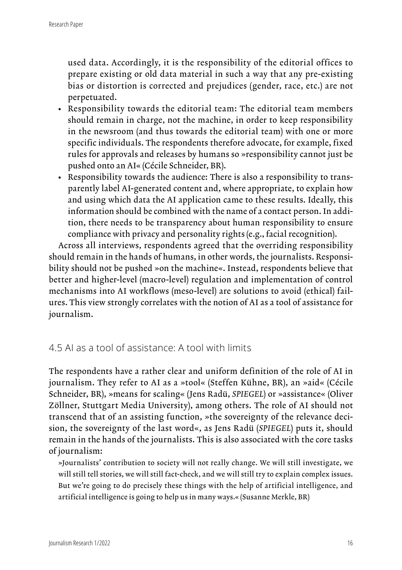used data. Accordingly, it is the responsibility of the editorial offices to prepare existing or old data material in such a way that any pre-existing bias or distortion is corrected and prejudices (gender, race, etc.) are not perpetuated.

- Responsibility towards the editorial team: The editorial team members should remain in charge, not the machine, in order to keep responsibility in the newsroom (and thus towards the editorial team) with one or more specific individuals. The respondents therefore advocate, for example, fixed rules for approvals and releases by humans so »responsibility cannot just be pushed onto an AI« (Cécile Schneider, BR).
- Responsibility towards the audience: There is also a responsibility to transparently label AI-generated content and, where appropriate, to explain how and using which data the AI application came to these results. Ideally, this information should be combined with the name of a contact person. In addition, there needs to be transparency about human responsibility to ensure compliance with privacy and personality rights (e.g., facial recognition).

Across all interviews, respondents agreed that the overriding responsibility should remain in the hands of humans, in other words, the journalists. Responsibility should not be pushed »on the machine«. Instead, respondents believe that better and higher-level (macro-level) regulation and implementation of control mechanisms into AI workflows (meso-level) are solutions to avoid (ethical) failures. This view strongly correlates with the notion of AI as a tool of assistance for journalism.

### 4.5 AI as a tool of assistance: A tool with limits

The respondents have a rather clear and uniform definition of the role of AI in journalism. They refer to AI as a »tool« (Steffen Kühne, BR), an »aid« (Cécile Schneider, BR), »means for scaling« (Jens Radü, *SPIEGEL*) or »assistance« (Oliver Zöllner, Stuttgart Media University), among others. The role of AI should not transcend that of an assisting function, »the sovereignty of the relevance decision, the sovereignty of the last word«, as Jens Radü (*SPIEGEL*) puts it, should remain in the hands of the journalists. This is also associated with the core tasks of journalism:

»Journalists' contribution to society will not really change. We will still investigate, we will still tell stories, we will still fact-check, and we will still try to explain complex issues. But we're going to do precisely these things with the help of artificial intelligence, and artificial intelligence is going to help us in many ways.« (Susanne Merkle, BR)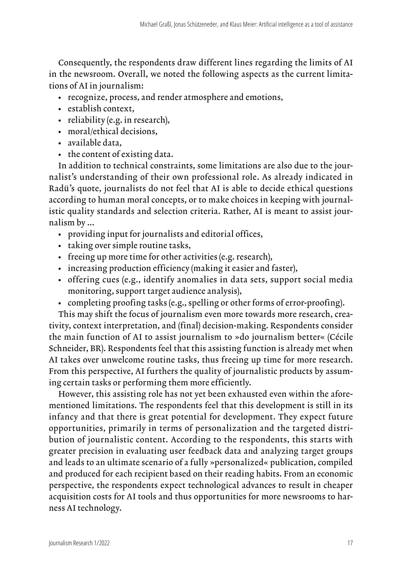Consequently, the respondents draw different lines regarding the limits of AI in the newsroom. Overall, we noted the following aspects as the current limitations of AI in journalism:

- recognize, process, and render atmosphere and emotions,
- establish context,
- reliability (e.g. in research),
- moral/ethical decisions,
- available data,
- the content of existing data.

In addition to technical constraints, some limitations are also due to the journalist's understanding of their own professional role. As already indicated in Radü's quote, journalists do not feel that AI is able to decide ethical questions according to human moral concepts, or to make choices in keeping with journalistic quality standards and selection criteria. Rather, AI is meant to assist journalism by ...

- providing input for journalists and editorial offices,
- taking over simple routine tasks,
- freeing up more time for other activities (e.g. research),
- increasing production efficiency (making it easier and faster),
- offering cues (e.g., identify anomalies in data sets, support social media monitoring, support target audience analysis),
- completing proofing tasks (e.g., spelling or other forms of error-proofing).

This may shift the focus of journalism even more towards more research, creativity, context interpretation, and (final) decision-making. Respondents consider the main function of AI to assist journalism to »do journalism better« (Cécile Schneider, BR). Respondents feel that this assisting function is already met when AI takes over unwelcome routine tasks, thus freeing up time for more research. From this perspective, AI furthers the quality of journalistic products by assuming certain tasks or performing them more efficiently.

However, this assisting role has not yet been exhausted even within the aforementioned limitations. The respondents feel that this development is still in its infancy and that there is great potential for development. They expect future opportunities, primarily in terms of personalization and the targeted distribution of journalistic content. According to the respondents, this starts with greater precision in evaluating user feedback data and analyzing target groups and leads to an ultimate scenario of a fully »personalized« publication, compiled and produced for each recipient based on their reading habits. From an economic perspective, the respondents expect technological advances to result in cheaper acquisition costs for AI tools and thus opportunities for more newsrooms to harness AI technology.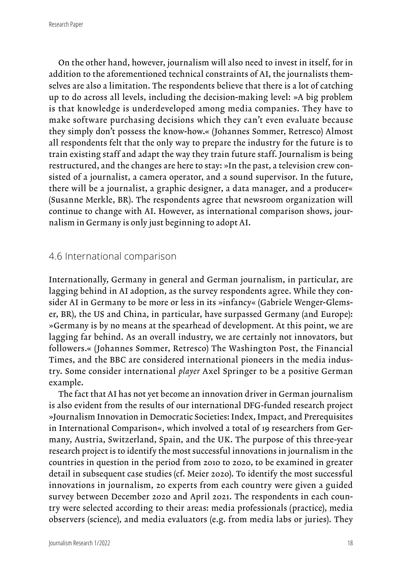Research Paper

On the other hand, however, journalism will also need to invest in itself, for in addition to the aforementioned technical constraints of AI, the journalists themselves are also a limitation. The respondents believe that there is a lot of catching up to do across all levels, including the decision-making level: »A big problem is that knowledge is underdeveloped among media companies. They have to make software purchasing decisions which they can't even evaluate because they simply don't possess the know-how.« (Johannes Sommer, Retresco) Almost all respondents felt that the only way to prepare the industry for the future is to train existing staff and adapt the way they train future staff. Journalism is being restructured, and the changes are here to stay: »In the past, a television crew consisted of a journalist, a camera operator, and a sound supervisor. In the future, there will be a journalist, a graphic designer, a data manager, and a producer« (Susanne Merkle, BR). The respondents agree that newsroom organization will continue to change with AI. However, as international comparison shows, journalism in Germany is only just beginning to adopt AI.

### 4.6 International comparison

Internationally, Germany in general and German journalism, in particular, are lagging behind in AI adoption, as the survey respondents agree. While they consider AI in Germany to be more or less in its »infancy« (Gabriele Wenger-Glemser, BR), the US and China, in particular, have surpassed Germany (and Europe): »Germany is by no means at the spearhead of development. At this point, we are lagging far behind. As an overall industry, we are certainly not innovators, but followers.« (Johannes Sommer, Retresco) The Washington Post, the Financial Times, and the BBC are considered international pioneers in the media industry. Some consider international *player* Axel Springer to be a positive German example.

The fact that AI has not yet become an innovation driver in German journalism is also evident from the results of our international DFG-funded research project »Journalism Innovation in Democratic Societies: Index, Impact, and Prerequisites in International Comparison«, which involved a total of 19 researchers from Germany, Austria, Switzerland, Spain, and the UK. The purpose of this three-year research project is to identify the most successful innovations in journalism in the countries in question in the period from 2010 to 2020, to be examined in greater detail in subsequent case studies (cf. Meier 2020). To identify the most successful innovations in journalism, 20 experts from each country were given a guided survey between December 2020 and April 2021. The respondents in each country were selected according to their areas: media professionals (practice), media observers (science), and media evaluators (e.g. from media labs or juries). They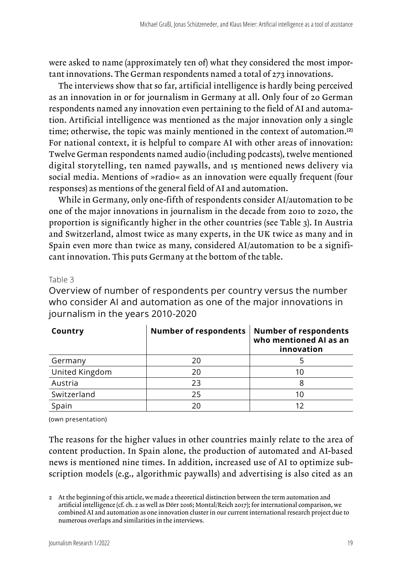were asked to name (approximately ten of) what they considered the most important innovations. The German respondents named a total of 273 innovations.

The interviews show that so far, artificial intelligence is hardly being perceived as an innovation in or for journalism in Germany at all. Only four of 20 German respondents named any innovation even pertaining to the field of AI and automation. Artificial intelligence was mentioned as the major innovation only a single time; otherwise, the topic was mainly mentioned in the context of automation.**[2]** For national context, it is helpful to compare AI with other areas of innovation: Twelve German respondents named audio (including podcasts), twelve mentioned digital storytelling, ten named paywalls, and 15 mentioned news delivery via social media. Mentions of »radio« as an innovation were equally frequent (four responses) as mentions of the general field of AI and automation.

While in Germany, only one-fifth of respondents consider AI/automation to be one of the major innovations in journalism in the decade from 2010 to 2020, the proportion is significantly higher in the other countries (see Table 3). In Austria and Switzerland, almost twice as many experts, in the UK twice as many and in Spain even more than twice as many, considered AI/automation to be a significant innovation. This puts Germany at the bottom of the table.

#### Table 3

Overview of number of respondents per country versus the number who consider AI and automation as one of the major innovations in journalism in the years 2010-2020

| Country        | Number of respondents | <b>Number of respondents</b><br>who mentioned AI as an<br>innovation |
|----------------|-----------------------|----------------------------------------------------------------------|
| Germany        | 20                    |                                                                      |
| United Kingdom | 20                    |                                                                      |
| Austria        | 23                    |                                                                      |
| Switzerland    | 25                    | 10                                                                   |
| Spain          | 20                    |                                                                      |

(own presentation)

The reasons for the higher values in other countries mainly relate to the area of content production. In Spain alone, the production of automated and AI-based news is mentioned nine times. In addition, increased use of AI to optimize subscription models (e.g., algorithmic paywalls) and advertising is also cited as an

<sup>2</sup> At the beginning of this article, we made a theoretical distinction between the term automation and artificial intelligence (cf. ch. 2 as well as Dörr 2016; Montal/Reich 2017); for international comparison, we combined AI and automation as one innovation cluster in our current international research project due to numerous overlaps and similarities in the interviews.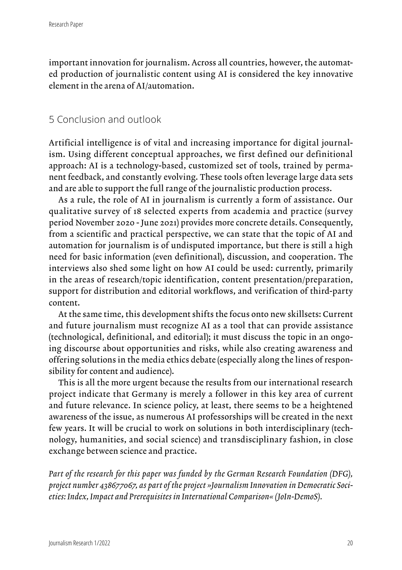important innovation for journalism. Across all countries, however, the automated production of journalistic content using AI is considered the key innovative element in the arena of AI/automation.

### 5 Conclusion and outlook

Artificial intelligence is of vital and increasing importance for digital journalism. Using different conceptual approaches, we first defined our definitional approach: AI is a technology-based, customized set of tools, trained by permanent feedback, and constantly evolving. These tools often leverage large data sets and are able to support the full range of the journalistic production process.

As a rule, the role of AI in journalism is currently a form of assistance. Our qualitative survey of 18 selected experts from academia and practice (survey period November 2020 - June 2021) provides more concrete details. Consequently, from a scientific and practical perspective, we can state that the topic of AI and automation for journalism is of undisputed importance, but there is still a high need for basic information (even definitional), discussion, and cooperation. The interviews also shed some light on how AI could be used: currently, primarily in the areas of research/topic identification, content presentation/preparation, support for distribution and editorial workflows, and verification of third-party content.

At the same time, this development shifts the focus onto new skillsets: Current and future journalism must recognize AI as a tool that can provide assistance (technological, definitional, and editorial); it must discuss the topic in an ongoing discourse about opportunities and risks, while also creating awareness and offering solutions in the media ethics debate (especially along the lines of responsibility for content and audience).

This is all the more urgent because the results from our international research project indicate that Germany is merely a follower in this key area of current and future relevance. In science policy, at least, there seems to be a heightened awareness of the issue, as numerous AI professorships will be created in the next few years. It will be crucial to work on solutions in both interdisciplinary (technology, humanities, and social science) and transdisciplinary fashion, in close exchange between science and practice.

*Part of the research for this paper was funded by the German Research Foundation (DFG), project number 438677067, as part of the project »Journalism Innovation in Democratic Societies: Index, Impact and Prerequisites in International Comparison« (JoIn-DemoS).*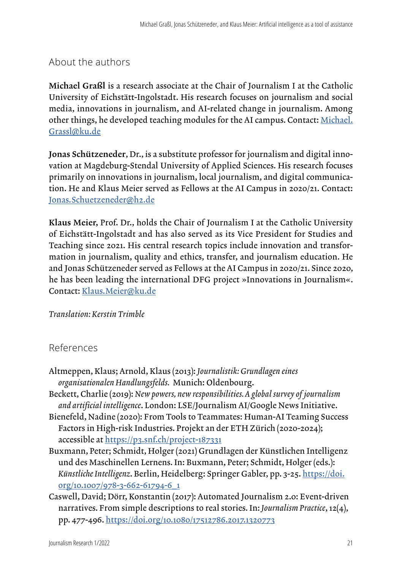### About the authors

Michael Graßl is a research associate at the Chair of Journalism I at the Catholic University of Eichstätt-Ingolstadt. His research focuses on journalism and social media, innovations in journalism, and AI-related change in journalism. Among other things, he developed teaching modules for the AI campus. Contact: [Michael.](mailto:Michael.Grassl@ku.de) [Grassl@ku.de](mailto:Michael.Grassl@ku.de)

Jonas Schützeneder, Dr., is a substitute professor for journalism and digital innovation at Magdeburg-Stendal University of Applied Sciences. His research focuses primarily on innovations in journalism, local journalism, and digital communication. He and Klaus Meier served as Fellows at the AI Campus in 2020/21. Contact: [Jonas.Schuetzeneder@h2.de](mailto:Jonas.Schuetzeneder@h2.de)

Klaus Meier, Prof. Dr., holds the Chair of Journalism I at the Catholic University of Eichstätt-Ingolstadt and has also served as its Vice President for Studies and Teaching since 2021. His central research topics include innovation and transformation in journalism, quality and ethics, transfer, and journalism education. He and Jonas Schützeneder served as Fellows at the AI Campus in 2020/21. Since 2020, he has been leading the international DFG project »Innovations in Journalism«. Contact: [Klaus.Meier@ku.de](mailto:Klaus.Meier@ku.de)

#### *Translation: Kerstin Trimble*

#### References

- Altmeppen, Klaus; Arnold, Klaus (2013): *Journalistik: Grundlagen eines organisationalen Handlungsfelds.* Munich: Oldenbourg.
- Beckett, Charlie (2019): *New powers, new responsibilities. A global survey of journalism and artificial intelligence*. London: LSE/Journalism AI/Google News Initiative.
- Bienefeld, Nadine (2020): From Tools to Teammates: Human-AI Teaming Success Factors in High-risk Industries. Projekt an der ETH Zürich (2020-2024); accessible at <https://p3.snf.ch/project-187331>
- Buxmann, Peter; Schmidt, Holger (2021) Grundlagen der Künstlichen Intelligenz und des Maschinellen Lernens. In: Buxmann, Peter; Schmidt, Holger (eds.): *Künstliche Intelligenz*. Berlin, Heidelberg: Springer Gabler, pp. 3-25. [https://doi.](https://doi.org/10.1007/978-3-662-61794-6_1) [org/10.1007/978-3-662-61794-6\\_1](https://doi.org/10.1007/978-3-662-61794-6_1)
- Caswell, David; Dörr, Konstantin (2017): Automated Journalism 2.0: Event-driven narratives. From simple descriptions to real stories. In: *Journalism Practice*, 12(4), pp. 477-496.<https://doi.org/10.1080/17512786.2017.1320773>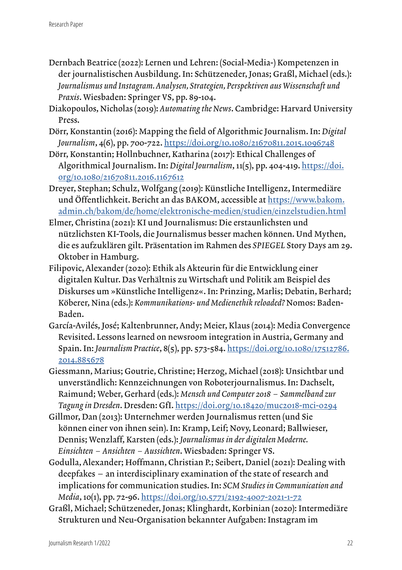- Dernbach Beatrice (2022): Lernen und Lehren: (Social-Media-) Kompetenzen in der journalistischen Ausbildung. In: Schützeneder, Jonas; Graßl, Michael (eds.): *Journalismus und Instagram. Analysen, Strategien, Perspektiven aus Wissenschaft und Praxis*. Wiesbaden: Springer VS, pp. 89-104.
- Diakopoulos, Nicholas (2019): *Automating the News*. Cambridge: Harvard University Press.
- Dörr, Konstantin (2016): Mapping the field of Algorithmic Journalism. In: *Digital Journalism*, 4(6), pp. 700-722.<https://doi.org/10.1080/21670811.2015.1096748>
- Dörr, Konstantin; Hollnbuchner, Katharina (2017): Ethical Challenges of Algorithmical Journalism. In: *Digital Journalism*, 11(5), pp. 404-419. [https://doi.](https://doi.org/10.1080/21670811.2016.1167612) [org/10.1080/21670811.2016.1167612](https://doi.org/10.1080/21670811.2016.1167612)
- Dreyer, Stephan; Schulz, Wolfgang (2019): Künstliche Intelligenz, Intermediäre und Öffentlichkeit. Bericht an das BAKOM, accessible at [https://www.bakom.](https://www.bakom.admin.ch/bakom/de/home/elektronische-medien/studien/einzelstudien.html) [admin.ch/bakom/de/home/elektronische-medien/studien/einzelstudien.html](https://www.bakom.admin.ch/bakom/de/home/elektronische-medien/studien/einzelstudien.html)
- Elmer, Christina (2021): KI und Journalismus: Die erstaunlichsten und nützlichsten KI-Tools, die Journalismus besser machen können. Und Mythen, die es aufzuklären gilt. Präsentation im Rahmen des *SPIEGEL* Story Days am 29. Oktober in Hamburg.
- Filipovic, Alexander (2020): Ethik als Akteurin für die Entwicklung einer digitalen Kultur. Das Verhältnis zu Wirtschaft und Politik am Beispiel des Diskurses um »Künstliche Intelligenz«. In: Prinzing, Marlis; Debatin, Berhard; Köberer, Nina (eds.): *Kommunikations- und Medienethik reloaded?* Nomos: Baden-Baden.
- García-Avilés, José; Kaltenbrunner, Andy; Meier, Klaus (2014): Media Convergence Revisited. Lessons learned on newsroom integration in Austria, Germany and Spain. In: *Journalism Practice*, 8(5), pp. 573-584. [https://doi.org/10.1080/17512786.](https://doi.org/10.1080/17512786.2014.885678) [2014.885678](https://doi.org/10.1080/17512786.2014.885678)
- Giessmann, Marius; Goutrie, Christine; Herzog, Michael (2018): Unsichtbar und unverständlich: Kennzeichnungen von Roboterjournalismus. In: Dachselt, Raimund; Weber, Gerhard (eds.): *Mensch und Computer 2018 – Sammelband zur Tagung in Dresden*. Dresden: GfI.<https://doi.org/10.18420/muc2018-mci-0294>
- Gillmor, Dan (2013): Unternehmer werden Journalismus retten (und Sie können einer von ihnen sein). In: Kramp, Leif; Novy, Leonard; Ballwieser, Dennis; Wenzlaff, Karsten (eds.): *Journalismus in der digitalen Moderne. Einsichten – Ansichten – Aussichten*. Wiesbaden: Springer VS.
- Godulla, Alexander; Hoffmann, Christian P.; Seibert, Daniel (2021): Dealing with deepfakes – an interdisciplinary examination of the state of research and implications for communication studies. In: *SCM Studies in Communication and Media*, 10(1), pp. 72-96.<https://doi.org/10.5771/2192-4007-2021-1-72>
- Graßl, Michael; Schützeneder, Jonas; Klinghardt, Korbinian (2020): Intermediäre Strukturen und Neu-Organisation bekannter Aufgaben: Instagram im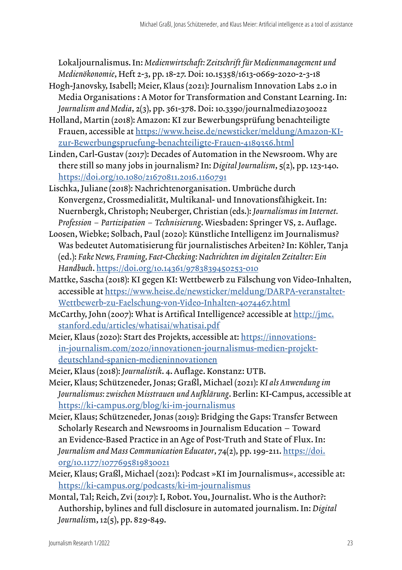Lokaljournalismus. In: *Medienwirtschaft: Zeitschrift für Medienmanagement und Medienökonomie*, Heft 2-3, pp. 18-27. Doi: 10.15358/1613-0669-2020-2-3-18

- Hogh-Janovsky, Isabell; Meier, Klaus (2021): Journalism Innovation Labs 2.0 in Media Organisations : A Motor for Transformation and Constant Learning. In: *Journalism and Media*, 2(3), pp. 361-378. Doi: 10.3390/journalmedia2030022
- Holland, Martin (2018): Amazon: KI zur Bewerbungsprüfung benachteiligte Frauen, accessible at [https://www.heise.de/newsticker/meldung/Amazon-KI](https://www.heise.de/newsticker/meldung/Amazon-KI-zur-Bewerbungspruefung-benachteiligte-Frauen-4189356.html)[zur-Bewerbungspruefung-benachteiligte-Frauen-4189356.html](https://www.heise.de/newsticker/meldung/Amazon-KI-zur-Bewerbungspruefung-benachteiligte-Frauen-4189356.html)
- Linden, Carl-Gustav (2017): Decades of Automation in the Newsroom. Why are there still so many jobs in journalism? In: *Digital Journalism*, 5(2), pp. 123-140. <https://doi.org/10.1080/21670811.2016.1160791>
- Lischka, Juliane (2018): Nachrichtenorganisation. Umbrüche durch Konvergenz, Crossmedialität, Multikanal- und Innovationsfähigkeit. In: Nuernbergk, Christoph; Neuberger, Christian (eds.): *Journalismus im Internet. Profession – Partizipation – Technisierung*. Wiesbaden: Springer VS, 2. Auflage.
- Loosen, Wiebke; Solbach, Paul (2020): Künstliche Intelligenz im Journalismus? Was bedeutet Automatisierung für journalistisches Arbeiten? In: Köhler, Tanja (ed.): *Fake News, Framing, Fact-Checking: Nachrichten im digitalen Zeitalter: Ein Handbuch*. <https://doi.org/10.14361/9783839450253-010>
- Mattke, Sascha (2018): KI gegen KI: Wettbewerb zu Fälschung von Video-Inhalten, accessible at [https://www.heise.de/newsticker/meldung/DARPA-veranstaltet-](https://www.heise.de/newsticker/meldung/DARPA-veranstaltet-Wettbewerb-zu-Faelschung-von-Video-Inhalten-4074467.html)[Wettbewerb-zu-Faelschung-von-Video-Inhalten-4074467.html](https://www.heise.de/newsticker/meldung/DARPA-veranstaltet-Wettbewerb-zu-Faelschung-von-Video-Inhalten-4074467.html)
- McCarthy, John (2007): What is Artifical Intelligence? accessible at [http://jmc.](http://jmc.stanford.edu/articles/whatisai/whatisai.pdf) [stanford.edu/articles/whatisai/whatisai.pdf](http://jmc.stanford.edu/articles/whatisai/whatisai.pdf)
- Meier, Klaus (2020): Start des Projekts, accessible at: [https://innovations](https://innovations-in-journalism.com/2020/innovationen-journalismus-medien-projekt-deutschland-spanien-medieninnovationen)[in-journalism.com/2020/innovationen-journalismus-medien-projekt](https://innovations-in-journalism.com/2020/innovationen-journalismus-medien-projekt-deutschland-spanien-medieninnovationen)[deutschland-spanien-medieninnovationen](https://innovations-in-journalism.com/2020/innovationen-journalismus-medien-projekt-deutschland-spanien-medieninnovationen)
- Meier, Klaus (2018): *Journalistik*. 4. Auflage. Konstanz: UTB.
- Meier, Klaus; Schützeneder, Jonas; Graßl, Michael (2021): *KI als Anwendung im Journalismus: zwischen Misstrauen und Aufklärung*. Berlin: KI-Campus, accessible at <https://ki-campus.org/blog/ki-im-journalismus>
- Meier, Klaus; Schützeneder, Jonas (2019): Bridging the Gaps: Transfer Between Scholarly Research and Newsrooms in Journalism Education – Toward an Evidence-Based Practice in an Age of Post-Truth and State of Flux. In: *Journalism and Mass Communication Educator*, 74(2), pp. 199-211. [https://doi.](https://doi.org/10.1177/1077695819830021) [org/10.1177/1077695819830021](https://doi.org/10.1177/1077695819830021)
- Meier, Klaus; Graßl, Michael (2021): Podcast »KI im Journalismus«, accessible at: <https://ki-campus.org/podcasts/ki-im-journalismus>
- Montal, Tal; Reich, Zvi (2017): I, Robot. You, Journalist. Who is the Author?: Authorship, bylines and full disclosure in automated journalism. In: *Digital Journalis*m, 12(5), pp. 829-849.